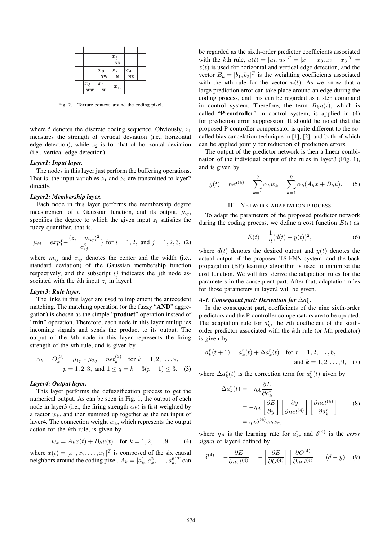|                     |                     | $ x_6$<br><b>NN</b>     |                          |  |
|---------------------|---------------------|-------------------------|--------------------------|--|
|                     | $ x_3$<br><b>NW</b> | $\left[x_2\right]$<br>N | $ x_4$<br>N <sub>E</sub> |  |
| $ x_5$<br><b>WW</b> | $ x_1$<br>Ŵ         | $x_n$                   |                          |  |

Fig. 2. Texture context around the coding pixel.

where t denotes the discrete coding sequence. Obviously,  $z_1$ measures the strength of vertical deviation (i.e., horizontal edge detection), while  $z_2$  is for that of horizontal deviation (i.e., vertical edge detection).

### *Layer1: Input layer.*

The nodes in this layer just perform the buffering operations. That is, the input variables  $z_1$  and  $z_2$  are transmitted to layer2 directly.

### *Layer2: Membership layer.*

Each node in this layer performs the membership degree measurement of a Gaussian function, and its output,  $\mu_{ij}$ , specifies the degree to which the given input  $z_i$  satisfies the fuzzy quantifier, that is,

$$
\mu_{ij} = exp\{-\frac{(z_i - m_{ij})^2}{\sigma_{ij}^2}\} \text{ for } i = 1, 2, \text{ and } j = 1, 2, 3, (2)
$$

where  $m_{ij}$  and  $\sigma_{ij}$  denotes the center and the width (i.e., standard deviation) of the Gaussian membership function respectively, and the subscript  $ij$  indicates the *j*th node associated with the *i*th input  $z_i$  in layer1.

# *Layer3: Rule layer.*

The links in this layer are used to implement the antecedent matching. The matching operation (or the fuzzy "**AND**" aggregation) is chosen as the simple "**product**" operation instead of "min" operation. Therefore, each node in this layer multiplies incoming signals and sends the product to its output. The output of the kth node in this layer represents the firing strength of the kth rule, and is given by

$$
\alpha_k = O_k^{(3)} = \mu_{1p} * \mu_{2q} = net_k^{(3)} \quad \text{for } k = 1, 2, ..., 9,
$$
  
\n
$$
p = 1, 2, 3, \text{ and } 1 \le q = k - 3(p - 1) \le 3.
$$
 (3)

### *Layer4: Output layer.*

This layer performs the defuzzification process to get the numerical output. As can be seen in Fig. 1, the output of each node in layer3 (i.e., the firing strength  $\alpha_k$ ) is first weighted by a factor  $w_k$ , and then summed up together as the net input of layer4. The connection weight  $w_k$ , which represents the output action for the kth rule, is given by

$$
w_k = A_k x(t) + B_k u(t) \text{ for } k = 1, 2, ..., 9,
$$
 (4)

where  $x(t) = [x_1, x_2, \dots, x_6]^T$  is composed of the six causal neighbors around the coding pixel,  $A_k = [a_k^1, a_k^2, \dots, a_k^6]^T$  can be regarded as the sixth-order predictor coefficients associated with the kth rule,  $u(t) = [u_1, u_2]^T = [x_1 - x_3, x_2 - x_3]^T =$  $z(t)$  is used for horizontal and vertical edge detection, and the vector  $B_k = [b_1, b_2]^T$  is the weighting coefficients associated with the kth rule for the vector  $u(t)$ . As we know that a large prediction error can take place around an edge during the coding process, and this can be regarded as a step command in control system. Therefore, the term  $B_ku(t)$ , which is called "**P-controller**" in control system, is applied in (4) for prediction error suppression. It should be noted that the proposed P-controller compensator is quite different to the socalled bias cancelation technique in [1], [2], and both of which can be applied jointly for reduction of prediction errors.

The output of the predictor network is then a linear combination of the individual output of the rules in layer3 (Fig. 1), and is given by

$$
y(t) = net^{(4)} = \sum_{k=1}^{9} \alpha_k w_k = \sum_{k=1}^{9} \alpha_k (A_k x + B_k u).
$$
 (5)

### III. NETWORK ADAPTATION PROCESS

To adapt the parameters of the proposed predictor network during the coding process, we define a cost function  $E(t)$  as

$$
E(t) = \frac{1}{2}(d(t) - y(t))^2,
$$
\n(6)

where  $d(t)$  denotes the desired output and  $y(t)$  denotes the actual output of the proposed TS-FNN system, and the back propagation (BP) learning algorithm is used to minimize the cost function. We will first derive the adaptation rules for the parameters in the consequent part. After that, adaptation rules for those parameters in layer2 will be given.

# $A$ -1. Consequent part: Derivation for  $\Delta a^r_k$ .

In the consequent part, coefficients of the nine sixth-order predictors and the P-controller compensators are to be updated. The adaptation rule for  $a_k^r$ , the rth coefficient of the sixthorder predictor associated with the kth rule (or kth predictor) is given by

$$
a_k^r(t+1) = a_k^r(t) + \Delta a_k^r(t) \quad \text{for } r = 1, 2, ..., 6,
$$
  
and  $k = 1, 2, ..., 9$ , (7)

where  $\Delta a_k^r(t)$  is the correction term for  $a_k^r(t)$  given by

$$
\Delta a_k^r(t) = -\eta_A \frac{\partial E}{\partial a_k^r}
$$
  
= -\eta\_A \left[ \frac{\partial E}{\partial y} \right] \left[ \frac{\partial y}{\partial net^{(4)}} \right] \left[ \frac{\partial net^{(4)}}{\partial a\_k^r} \right] (8)  
= \eta\_A \delta^{(4)} \alpha\_k x\_r,

where  $\eta_A$  is the learning rate for  $a_k^r$ , and  $\delta^{(4)}$  is the *error signal* of layer4 defined by

$$
\delta^{(4)} = -\frac{\partial E}{\partial net^{(4)}} = -\left[\frac{\partial E}{\partial O^{(4)}}\right] \left[\frac{\partial O^{(4)}}{\partial net^{(4)}}\right] = (d - y). \quad (9)
$$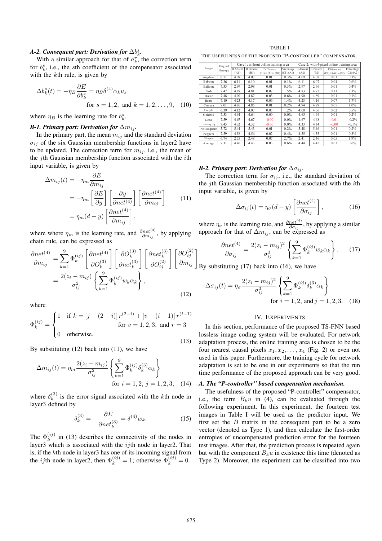# $A$ -2. Consequent part: Derivation for  $\Delta b^s_k$ .

With a similar approach for that of  $a_k^r$ , the correction term for  $b_k^s$ , i.e., the sth coefficient of the compensator associated with the k<sup>th</sup> rule, is given by

$$
\Delta b_k^s(t) = -\eta_B \frac{\partial E}{\partial b_k^s} = \eta_B \delta^{(4)} \alpha_k u_s
$$
  
for  $s = 1, 2$ , and  $k = 1, 2, ..., 9$ , (10)

where  $\eta_B$  is the learning rate for  $b_k^s$ .

### *B-1. Primary part: Derivation for*  $\Delta m_{ij}$ *.*

In the primary part, the mean  $m_{ij}$  and the standard deviation  $\sigma_{ij}$  of the six Gaussian membership functions in layer2 have to be updated. The correction term for  $m_{ij}$ , i.e., the mean of the jth Gaussian membership function associated with the ith input variable, is given by

$$
\Delta m_{ij}(t) = -\eta_m \frac{\partial E}{\partial m_{ij}}
$$
  
=  $-\eta_m \left[ \frac{\partial E}{\partial y} \right] \left[ \frac{\partial y}{\partial net^{(4)}} \right] \left[ \frac{\partial net^{(4)}}{\partial m_{ij}} \right]$  (11)  
=  $\eta_m (d - y) \left[ \frac{\partial net^{(4)}}{\partial m_{ij}} \right],$ 

where where  $\eta_m$  is the learning rate, and  $\frac{\partial net^{(4)}}{\partial m_{ij}}$ , by applying chain rule, can be expressed as

$$
\frac{\partial net^{(4)}}{\partial m_{ij}} = \sum_{k=1}^{9} \Phi_k^{(ij)} \left[ \frac{\partial net^{(4)}}{\partial O_k^{(3)}} \right] \left[ \frac{\partial O_k^{(3)}}{\partial net_k^{(3)}} \right] \left[ \frac{\partial net_k^{(3)}}{\partial O_{ij}^{(2)}} \right] \left[ \frac{\partial O_{ij}^{(2)}}{\partial m_{ij}} \right]
$$

$$
= \frac{2(z_i - m_{ij})}{\sigma_{ij}^2} \left\{ \sum_{k=1}^{9} \Phi_k^{(ij)} w_k \alpha_k \right\},
$$
(12)

where

$$
\Phi_k^{(ij)} = \begin{cases}\n1 & \text{if } k = [j - (2 - i)] \, r^{(2 - i)} + [v - (i - 1)] \, r^{(i - 1)} \\
0 & \text{otherwise.} \n\end{cases}
$$
\nfor  $v = 1, 2, 3$ , and  $r = 3$ 

By substituting  $(12)$  back into  $(11)$ , we have

$$
\Delta m_{ij}(t) = \eta_m \frac{2(z_i - m_{ij})}{\sigma_{ij}^2} \left\{ \sum_{k=1}^9 \Phi_k^{(ij)} \delta_k^{(3)} \alpha_k \right\}
$$
  
for  $i = 1, 2, j = 1, 2, 3$ , (14)

where  $\delta_k^{(3)}$  is the error signal associated with the kth node in layer3 defined by

$$
\delta_k^{(3)} = -\frac{\partial E}{\partial net_k^{(3)}} = \delta^{(4)}w_k.
$$
\n(15)

The  $\Phi_k^{(ij)}$  in (13) describes the connectivity of the nodes in layer3 which is associated with the  $ij$ th node in layer2. That is, if the  $k$ th node in layer3 has one of its incoming signal from the *ij*th node in layer2, then  $\Phi_k^{(ij)} = 1$ ; otherwise  $\Phi_k^{(ij)} = 0$ .

TABLE I THE USEFULNESS OF THE PROPOSED "P-CONTROLLER" COMPENSATOR.

| Image        | Original<br>Entropy | Case 1: without online training area |                  |                                |            |                 |                                | Case 2: with 4-pixel online training area |            |
|--------------|---------------------|--------------------------------------|------------------|--------------------------------|------------|-----------------|--------------------------------|-------------------------------------------|------------|
|              |                     | <b>B</b> Absent                      | <b>B</b> Present | Difference                     | Percentage | <b>B</b> Absent | <b>B</b> Present<br>Difference |                                           | Percentage |
|              |                     | (A1)                                 | (B1)             | $(C1) = (A1) - (B1) (C1)/(A1)$ |            | (A2)            | (B2)                           | $(C2) = (A2) - (B2)$                      | (C2)/(A2)  |
| Airplane     | 6.71                | 4.09                                 | 4.07             | 0.01                           | 0.3%       | 4.09            | 4.08                           | 0.01                                      | 0.3%       |
| Baboon       | 7.36                | 6.11                                 | 6.10             | 0.01                           | 0.1%       | 6.11            | 6.07                           | 0.04                                      | 0.6%       |
| Balloon      | 7.35                | 2.99                                 | 2.98             | 0.01                           | 0.3%       | 2.97            | 2.96                           | 0.01                                      | 0.4%       |
| Barb         | 7.47                | 4.89                                 | 4.81             | 0.07                           | 1.5%       | 4.83            | 4.72                           | 0.11                                      | 2.3%       |
| Barb2        | 7.48                | 4.90                                 | 4.87             | 0.03                           | 0.6%       | 4.90            | 4.89                           | 0.01                                      | 0.1%       |
| <b>Boats</b> | 7.10                | 4.23                                 | 4.17             | 0.06                           | 1.4%       | 4.23            | 4.16                           | 0.07                                      | 1.7%       |
| Camera       | 7.01                | 4.86                                 | 4.85             | 0.01                           | 0.2%       | 4.94            | 4.89                           | 0.05                                      | $1.0\%$    |
| Couple       | 6.39                | 4.12                                 | 4.07             | 0.05                           | 1.2%       | 4.08            | 4.06                           | 0.02                                      | 0.5%       |
| Goldhill     | 7.53                | 4.64                                 | 4.64             | 0.00                           | 0.0%       | 4.65            | 4.64                           | 0.01                                      | 0.2%       |
| Lena         | 7.59                | 4.67                                 | 4.67             | $-0.00$                        | 0.0%       | 4.67            | 4.68                           | $-0.01$                                   | $-0.2%$    |
| Lennagrey    | 7.45                | 4.32                                 | 4.32             | $-0.00$                        | 0.0%       | 4.33            | 4.34                           | $-0.00$                                   | $-0.1%$    |
| Noisesquare  | 5.72                | 5.44                                 | 5.43             | 0.01                           | 0.2%       | 5.48            | 5.46                           | 0.01                                      | 0.2%       |
| Peppers      | 7.59                | 4.58                                 | 4.56             | 0.02                           | 0.4%       | 4.55            | 4.53                           | 0.01                                      | 0.3%       |
| Shapes       | 6.74                | 2.55                                 | 2.48             | 0.07                           | 2.7%       | 2.41            | 2.36                           | 0.05                                      | 1.9%       |
| Average      | 7.11                | 4.46                                 | 4.43             | 0.03                           | 0.6%       | 4.44            | 4.42                           | 0.03                                      | 0.6%       |

# *B-2. Primary part: Derivation for*  $\Delta \sigma_{ij}$ *.*

The correction term for  $\sigma_{ij}$ , i.e., the standard deviation of the jth Gaussian membership function associated with the ith input variable, is given by

$$
\Delta \sigma_{ij}(t) = \eta_{\sigma}(d - y) \left[ \frac{\partial net^{(4)}}{\partial \sigma_{ij}} \right],
$$
\n(16)

where  $\eta_{\sigma}$  is the learning rate, and  $\frac{\partial net^{(4)}}{\partial \sigma_{ij}}$ , by applying a similar approach for that of  $\Delta m_{ij}$ , can be expressed as

$$
\frac{\partial net^{(4)}}{\partial \sigma_{ij}} = \frac{2(z_i - m_{ij})^2}{\sigma_{ij}^3} \left\{ \sum_{k=1}^9 \Phi_k^{(ij)} w_k \alpha_k \right\}.
$$
 (17)

 $\Box$  By substituting (17) back into (16), we have

$$
\Delta \sigma_{ij}(t) = \eta_{\sigma} \frac{2(z_i - m_{ij})^2}{\sigma_{ij}^3} \left\{ \sum_{k=1}^9 \Phi_k^{(ij)} \delta_k^{(3)} \alpha_k \right\}
$$
  
for  $i = 1, 2$ , and  $j = 1, 2, 3$ . (18)

### IV. EXPERIMENTS

In this section, performance of the proposed TS-FNN based lossless image coding system will be evaluated. For network adaptation process, the online training area is chosen to be the four nearest causal pixels  $x_1, x_2, \ldots, x_4$  (Fig. 2) or even not used in this paper. Furthermore, the training cycle for network adaptation is set to be one in our experiments so that the run time performance of the proposed approach can be very good.

### *A. The "P-controller" based compensation mechanism.*

The usefulness of the proposed "P-controller" compensator, i.e., the term  $B_k u$  in (4), can be evaluated through the following experiment. In this experiment, the fourteen test images in Table I will be used as the predictor input. We first set the  $B$  matrix in the consequent part to be a zero vector (denoted as Type 1), and then calculate the first-order entropies of uncompensated prediction error for the fourteen test images. After that, the prediction process is repeated again but with the component  $B_k u$  in existence this time (denoted as Type 2). Moreover, the experiment can be classified into two

(13)